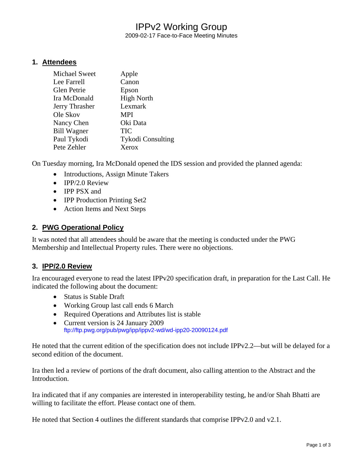# IPPv2 Working Group

2009-02-17 Face-to-Face Meeting Minutes

### **1. Attendees**

| Michael Sweet      | Apple                    |
|--------------------|--------------------------|
| Lee Farrell        | Canon                    |
| <b>Glen Petrie</b> | Epson                    |
| Ira McDonald       | <b>High North</b>        |
| Jerry Thrasher     | Lexmark                  |
| Ole Skov           | <b>MPI</b>               |
| Nancy Chen         | Oki Data                 |
| <b>Bill Wagner</b> | <b>TIC</b>               |
| Paul Tykodi        | <b>Tykodi Consulting</b> |
| Pete Zehler        | Xerox                    |

On Tuesday morning, Ira McDonald opened the IDS session and provided the planned agenda:

- Introductions, Assign Minute Takers
- IPP/2.0 Review
- IPP PSX and
- **IPP Production Printing Set2**
- Action Items and Next Steps

### **2. PWG Operational Policy**

It was noted that all attendees should be aware that the meeting is conducted under the PWG Membership and Intellectual Property rules. There were no objections.

# **3. IPP/2.0 Review**

Ira encouraged everyone to read the latest IPPv20 specification draft, in preparation for the Last Call. He indicated the following about the document:

- Status is Stable Draft
- Working Group last call ends 6 March
- Required Operations and Attributes list is stable
- Current version is 24 January 2009 <ftp://ftp.pwg.org/pub/pwg/ipp/ippv2-wd/wd-ipp20-20090124.pdf>

He noted that the current edition of the specification does not include IPPv2.2—but will be delayed for a second edition of the document.

Ira then led a review of portions of the draft document, also calling attention to the Abstract and the Introduction.

Ira indicated that if any companies are interested in interoperability testing, he and/or Shah Bhatti are willing to facilitate the effort. Please contact one of them.

He noted that Section 4 outlines the different standards that comprise IPPv2.0 and v2.1.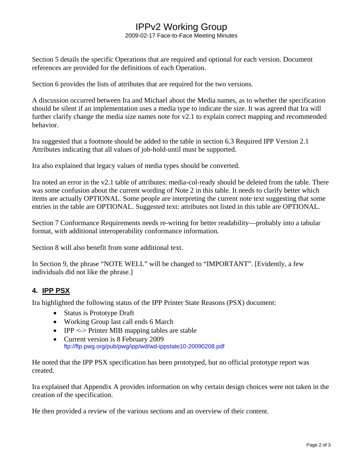# IPPv2 Working Group

2009-02-17 Face-to-Face Meeting Minutes

Section 5 details the specific Operations that are required and optional for each version. Document references are provided for the definitions of each Operation.

Section 6 provides the lists of attributes that are required for the two versions.

A discussion occurred between Ira and Michael about the Media names, as to whether the specification should be silent if an implementation uses a media type to indicate the size. It was agreed that Ira will further clarify change the media size names note for v2.1 to explain correct mapping and recommended behavior.

Ira suggested that a footnote should be added to the table in section 6.3 Required IPP Version 2.1 Attributes indicating that all values of job-hold-until must be supported.

Ira also explained that legacy values of media types should be converted.

Ira noted an error in the v2.1 table of attributes: media-col-ready should be deleted from the table. There was some confusion about the current wording of Note 2 in this table. It needs to clarify better which items are actually OPTIONAL. Some people are interpreting the current note text suggesting that some entries in the table are OPTIONAL. Suggested text: attributes not listed in this table are OPTIONAL.

Section 7 Conformance Requirements needs re-writing for better readability—probably into a tabular format, with additional interoperability conformance information.

Section 8 will also benefit from some additional text.

In Section 9, the phrase "NOTE WELL" will be changed to "IMPORTANT". [Evidently, a few individuals did not like the phrase.]

# **4. IPP PSX**

Ira highlighted the following status of the IPP Printer State Reasons (PSX) document:

- Status is Prototype Draft
- Working Group last call ends 6 March
- IPP <-> Printer MIB mapping tables are stable
- Current version is 8 February 2009 <ftp://ftp.pwg.org/pub/pwg/ipp/wd/wd-ippstate10-20090208.pdf>

He noted that the IPP PSX specification has been prototyped, but no official prototype report was created.

Ira explained that Appendix A provides information on why certain design choices were not taken in the creation of the specification.

He then provided a review of the various sections and an overview of their content.